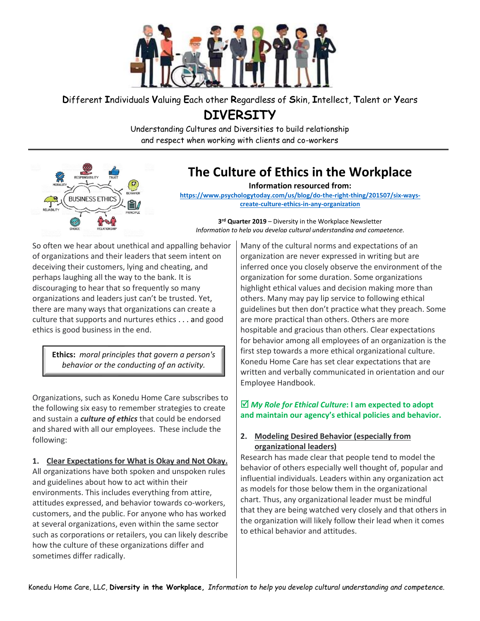

# **D**ifferent **I**ndividuals **V**aluing **E**ach other **R**egardless of **S**kin, **I**ntellect, **T**alent or **Y**ears **DIVERSITY**

Understanding Cultures and Diversities to build relationship and respect when working with clients and co-workers



# **The Culture of Ethics in the Workplace**

**Information resourced from:**

**[https://www.psychologytoday.com/us/blog/do-the-right-thing/201507/six-ways](https://www.psychologytoday.com/us/blog/do-the-right-thing/201507/six-ways-create-culture-ethics-in-any-organization)[create-culture-ethics-in-any-organization](https://www.psychologytoday.com/us/blog/do-the-right-thing/201507/six-ways-create-culture-ethics-in-any-organization)**

**3 rd Quarter 2019** – Diversity in the Workplace Newsletter *Information to help you develop cultural understanding and competence.*

So often we hear about unethical and appalling behavior of organizations and their leaders that seem intent on deceiving their customers, [lying](https://www.psychologytoday.com/us/basics/deception) and cheating, and perhaps [laughing](https://www.psychologytoday.com/us/basics/laughter) all the way to the bank. It is discouraging to hear that so frequently so many organizations and leaders just can't be trusted. Yet, there are many ways that organizations can create a culture that supports and nurture[s ethics](https://www.psychologytoday.com/us/basics/ethics-and-morality) . . . and good ethics is good business in the end.

**Ethics:** *moral principles that govern a person's behavior or the conducting of an activity.*

Organizations, such as Konedu Home Care subscribes to the following six easy to remember strategies to create and sustain a *culture of ethics* that could be endorsed and shared with all our employees. These include the following:

**1. Clear Expectations for What is Okay and Not Okay.** All organizations have both spoken and unspoken rules and guidelines about how to act within their environments. This includes everything from attire, attitudes expressed, and behavior towards co-workers, customers, and the public. For anyone who has worked at several organizations, even within the same sector such as corporations or retailers, you can likely describe how the culture of these organizations differ and sometimes differ radically.

Many of the cultural norms and expectations of an organization are never expressed in writing but are inferred once you closely observe the [environment](https://www.psychologytoday.com/us/basics/environment) of the organization for some duration. Some organizations highlight ethical values and [decision making](https://www.psychologytoday.com/us/basics/decision-making) more than others. Many may pay lip service to following ethical guidelines but then don't practice what they preach. Some are more practical than others. Others are more hospitable and gracious than others. Clear expectations for behavior among all employees of an organization is the first step towards a more ethical organizational culture. Konedu Home Care has set clear expectations that are written and verbally communicated in orientation and our Employee Handbook.

## *My Role for Ethical Culture***: I am expected to adopt and maintain our agency's ethical policies and behavior.**

## **2. Modeling Desired Behavior (especially from organizational leaders)**

Research has made clear that people tend to model the behavior of others especially well thought of, popular and influential individuals. Leaders within any organization act as models for those below them in the organizational chart. Thus, any organizational leader must be mindful that they are being watched very closely and that others in the organization will likely follow their lead when it comes to ethical behavior and attitudes.